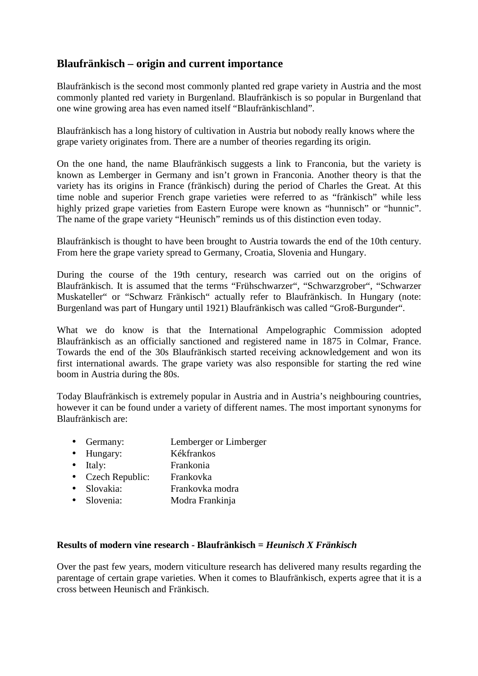## **Blaufränkisch – origin and current importance**

Blaufränkisch is the second most commonly planted red grape variety in Austria and the most commonly planted red variety in Burgenland. Blaufränkisch is so popular in Burgenland that one wine growing area has even named itself "Blaufränkischland".

Blaufränkisch has a long history of cultivation in Austria but nobody really knows where the grape variety originates from. There are a number of theories regarding its origin.

On the one hand, the name Blaufränkisch suggests a link to Franconia, but the variety is known as Lemberger in Germany and isn't grown in Franconia. Another theory is that the variety has its origins in France (fränkisch) during the period of Charles the Great. At this time noble and superior French grape varieties were referred to as "fränkisch" while less highly prized grape varieties from Eastern Europe were known as "hunnisch" or "hunnic". The name of the grape variety "Heunisch" reminds us of this distinction even today.

Blaufränkisch is thought to have been brought to Austria towards the end of the 10th century. From here the grape variety spread to Germany, Croatia, Slovenia and Hungary.

During the course of the 19th century, research was carried out on the origins of Blaufränkisch. It is assumed that the terms "Frühschwarzer", "Schwarzgrober", "Schwarzer Muskateller" or "Schwarz Fränkisch" actually refer to Blaufränkisch. In Hungary (note: Burgenland was part of Hungary until 1921) Blaufränkisch was called "Groß-Burgunder".

What we do know is that the International Ampelographic Commission adopted Blaufränkisch as an officially sanctioned and registered name in 1875 in Colmar, France. Towards the end of the 30s Blaufränkisch started receiving acknowledgement and won its first international awards. The grape variety was also responsible for starting the red wine boom in Austria during the 80s.

Today Blaufränkisch is extremely popular in Austria and in Austria's neighbouring countries, however it can be found under a variety of different names. The most important synonyms for Blaufränkisch are:

- Germany: Lemberger or Limberger
- Hungary: Kékfrankos
- Italy: Frankonia
- Czech Republic: Frankovka
- Slovakia: Frankovka modra
- Slovenia: Modra Frankinja

## **Results of modern vine research - Blaufränkisch =** *Heunisch X Fränkisch*

Over the past few years, modern viticulture research has delivered many results regarding the parentage of certain grape varieties. When it comes to Blaufränkisch, experts agree that it is a cross between Heunisch and Fränkisch.